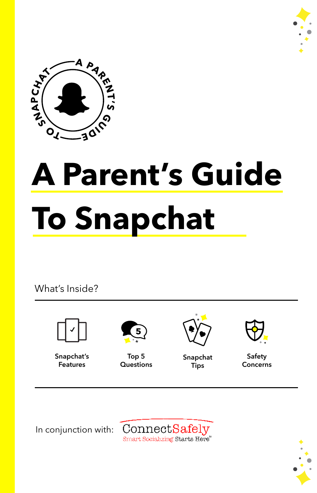



# **A Parent's Guide To Snapchat**

What's Inside?



**Snapchat's Features**



**Top 5 Questions**



**Snapchat Tips** 



**Safety Concerns**

In conjunction with:



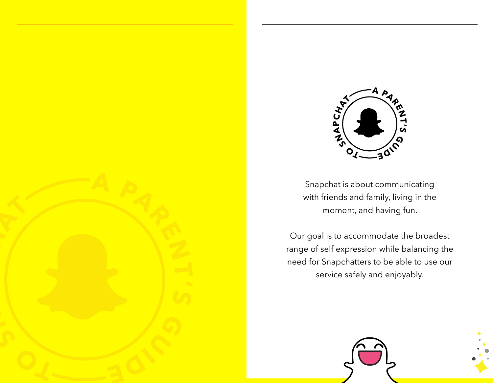

Snapchat is about communicating with friends and family, living in the moment, and having fun.

Our goal is to accommodate the broadest range of self expression while balancing the need for Snapchatters to be able to use our service safely and enjoyably.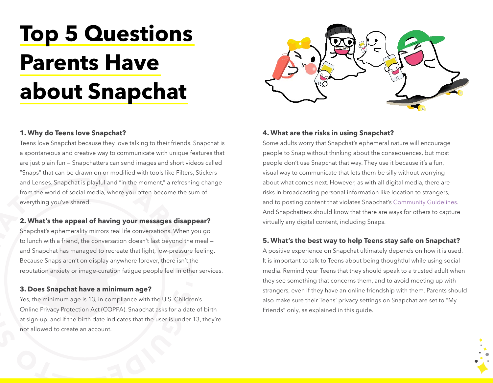## **Top 5 Questions Parents Have about Snapchat**

### **1. Why do Teens love Snapchat?**

Teens love Snapchat because they love talking to their friends. Snapchat is a spontaneous and creative way to communicate with unique features that are just plain fun — Snapchatters can send images and short videos called "Snaps" that can be drawn on or modified with tools like Filters, Stickers and Lenses. Snapchat is playful and "in the moment," a refreshing change from the world of social media, where you often become the sum of everything you've shared.

### **2. What's the appeal of having your messages disappear?**

Snapchat's ephemerality mirrors real life conversations. When you go to lunch with a friend, the conversation doesn't last beyond the meal and Snapchat has managed to recreate that light, low-pressure feeling. Because Snaps aren't on display anywhere forever, there isn't the reputation anxiety or image-curation fatigue people feel in other services.

### **3. Does Snapchat have a minimum age?**

Yes, the minimum age is 13, in compliance with the U.S. Children's Online Privacy Protection Act (COPPA). Snapchat asks for a date of birth at sign-up, and if the birth date indicates that the user is under 13, they're not allowed to create an account.

### **4. What are the risks in using Snapchat?**

Some adults worry that Snapchat's ephemeral nature will encourage people to Snap without thinking about the consequences, but most people don't use Snapchat that way. They use it because it's a fun, visual way to communicate that lets them be silly without worrying about what comes next. However, as with all digital media, there are risks in broadcasting personal information like location to strangers, and to posting content that violates Snapchat's [Community Guidelines.](https://support.snapchat.com/en-US/a/guidelines) And Snapchatters should know that there are ways for others to capture virtually any digital content, including Snaps.

### **5. What's the best way to help Teens stay safe on Snapchat?**

A positive experience on Snapchat ultimately depends on how it is used. It is important to talk to Teens about being thoughtful while using social media. Remind your Teens that they should speak to a trusted adult when they see something that concerns them, and to avoid meeting up with strangers, even if they have an online friendship with them. Parents should also make sure their Teens' privacy settings on Snapchat are set to "My Friends" only, as explained in this guide.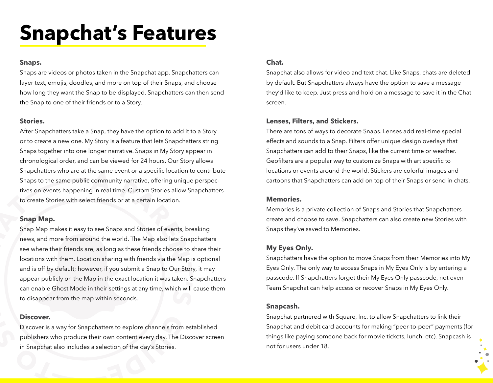### **Snapchat's Features**

### **Snaps.**

Snaps are videos or photos taken in the Snapchat app. Snapchatters can layer text, emojis, doodles, and more on top of their Snaps, and choose how long they want the Snap to be displayed. Snapchatters can then send the Snap to one of their friends or to a Story.

### **Stories.**

After Snapchatters take a Snap, they have the option to add it to a Story or to create a new one. My Story is a feature that lets Snapchatters string Snaps together into one longer narrative. Snaps in My Story appear in chronological order, and can be viewed for 24 hours. Our Story allows Snapchatters who are at the same event or a specific location to contribute Snaps to the same public community narrative, offering unique perspectives on events happening in real time. Custom Stories allow Snapchatters to create Stories with select friends or at a certain location.

### **Snap Map.**

Snap Map makes it easy to see Snaps and Stories of events, breaking news, and more from around the world. The Map also lets Snapchatters see where their friends are, as long as these friends choose to share their locations with them. Location sharing with friends via the Map is optional and is off by default; however, if you submit a Snap to Our Story, it may appear publicly on the Map in the exact location it was taken. Snapchatters can enable Ghost Mode in their settings at any time, which will cause them to disappear from the map within seconds.

### **Discover.**

Discover is a way for Snapchatters to explore channels from established publishers who produce their own content every day. The Discover screen in Snapchat also includes a selection of the day's Stories.

### **Chat.**

Snapchat also allows for video and text chat. Like Snaps, chats are deleted by default. But Snapchatters always have the option to save a message they'd like to keep. Just press and hold on a message to save it in the Chat screen.

### **Lenses, Filters, and Stickers.**

There are tons of ways to decorate Snaps. Lenses add real-time special effects and sounds to a Snap. Filters offer unique design overlays that Snapchatters can add to their Snaps, like the current time or weather. Geofilters are a popular way to customize Snaps with art specific to locations or events around the world. Stickers are colorful images and cartoons that Snapchatters can add on top of their Snaps or send in chats.

### **Memories.**

Memories is a private collection of Snaps and Stories that Snapchatters create and choose to save. Snapchatters can also create new Stories with Snaps they've saved to Memories.

### **My Eyes Only.**

Snapchatters have the option to move Snaps from their Memories into My Eyes Only. The only way to access Snaps in My Eyes Only is by entering a passcode. If Snapchatters forget their My Eyes Only passcode, not even Team Snapchat can help access or recover Snaps in My Eyes Only.

### **Snapcash.**

Snapchat partnered with Square, Inc. to allow Snapchatters to link their Snapchat and debit card accounts for making "peer-to-peer" payments (for things like paying someone back for movie tickets, lunch, etc). Snapcash is not for users under 18.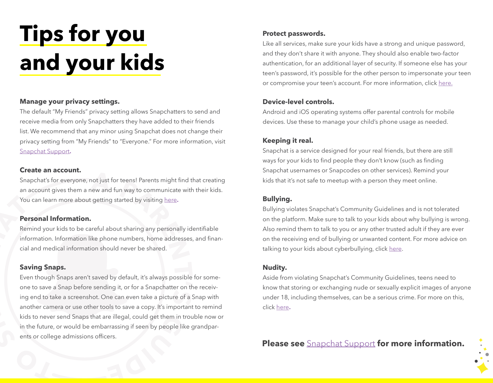## **Tips for you and your kids**

### **Manage your privacy settings.**

The default "My Friends" privacy setting allows Snapchatters to send and receive media from only Snapchatters they have added to their friends list. We recommend that any minor using Snapchat does not change their privacy setting from "My Friends" to "Everyone." For more information, visit [Snapchat Support](https://support.snapchat.com/en-US/a/privacy-settings)**.**

#### **Create an account.**

Snapchat's for everyone, not just for teens! Parents might find that creating an account gives them a new and fun way to communicate with their kids. You can learn more about getting started by visiting [here](https://support.snapchat.com/en-US/article/getting-started1)**.**

### **Personal Information.**

Remind your kids to be careful about sharing any personally identifiable information. Information like phone numbers, home addresses, and financial and medical information should never be shared.

### **Saving Snaps.**

Even though Snaps aren't saved by default, it's always possible for someone to save a Snap before sending it, or for a Snapchatter on the receiving end to take a screenshot. One can even take a picture of a Snap with another camera or use other tools to save a copy. It's important to remind kids to never send Snaps that are illegal, could get them in trouble now or in the future, or would be embarrassing if seen by people like grandparents or college admissions officers.

### **Protect passwords.**

Like all services, make sure your kids have a strong and unique password, and they don't share it with anyone. They should also enable two-factor authentication, for an additional layer of security. If someone else has your teen's password, it's possible for the other person to impersonate your teen or compromise your teen's account. For more information, click [here.](http://www.connectsafely.org/tips-to-create-and-manage-strong-passwords/)

### **Device-level controls.**

Android and iOS operating systems offer parental controls for mobile devices. Use these to manage your child's phone usage as needed.

### **Keeping it real.**

Snapchat is a service designed for your real friends, but there are still ways for your kids to find people they don't know (such as finding Snapchat usernames or Snapcodes on other services). Remind your kids that it's not safe to meetup with a person they meet online.

### **Bullying.**

Bullying violates Snapchat's Community Guidelines and is not tolerated on the platform. Make sure to talk to your kids about why bullying is wrong. Also remind them to talk to you or any other trusted adult if they are ever on the receiving end of bullying or unwanted content. For more advice on talking to your kids about cyberbullying, click [here](http://www.connectsafely.org/cyberbullying/).

### **Nudity.**

Aside from violating Snapchat's Community Guidelines, teens need to know that storing or exchanging nude or sexually explicit images of anyone under 18, including themselves, can be a serious crime. For more on this, click [here](http://www.connectsafely.org/tips-for-dealing-with-teen-sexting/)**.**

**Please see** [Snapchat Support](https://support.snapchat.com/en-US) **for more information.**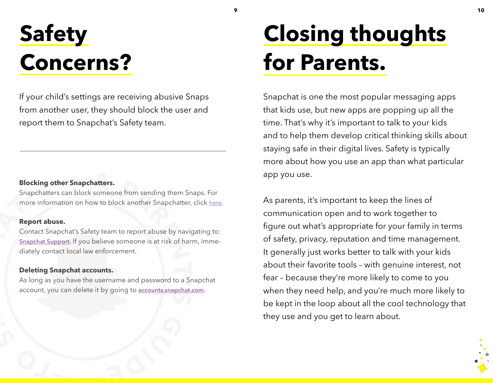### **Safety Concerns?**

If your child's settings are receiving abusive Snaps from another user, they should block the user and report them to Snapchat's Safety team.

### **Blocking other Snapchatters.**

Snapchatters can block someone from sending them Snaps. For more information on how to block another Snapchatter, click [here](https://support.snapchat.com/en-US/article/block-friends).

### **Report abuse.**

Contact Snapchat's Safety team to report abuse by navigating to: **[Snapchat Support](https://support.snapchat.com/en-US/i-need-help).** If you believe someone is at risk of harm, immediately contact local law enforcement.

### **Deleting Snapchat accounts.**

As long as you have the username and password to a Snapchat account, you can delete it by going to **[accounts.snapchat.com.](https://accounts.snapchat.com/accounts/login?continue=https%3A%2F%2Faccounts.snapchat.com%2Faccounts%2Fdelete_account)**

## **Closing thoughts for Parents.**

**9**

Snapchat is one the most popular messaging apps that kids use, but new apps are popping up all the time. That's why it's important to talk to your kids and to help them develop critical thinking skills about staying safe in their digital lives. Safety is typically more about how you use an app than what particular app you use.

As parents, it's important to keep the lines of communication open and to work together to figure out what's appropriate for your family in terms of safety, privacy, reputation and time management. It generally just works better to talk with your kids about their favorite tools – with genuine interest, not fear – because they're more likely to come to you when they need help, and you're much more likely to be kept in the loop about all the cool technology that they use and you get to learn about.